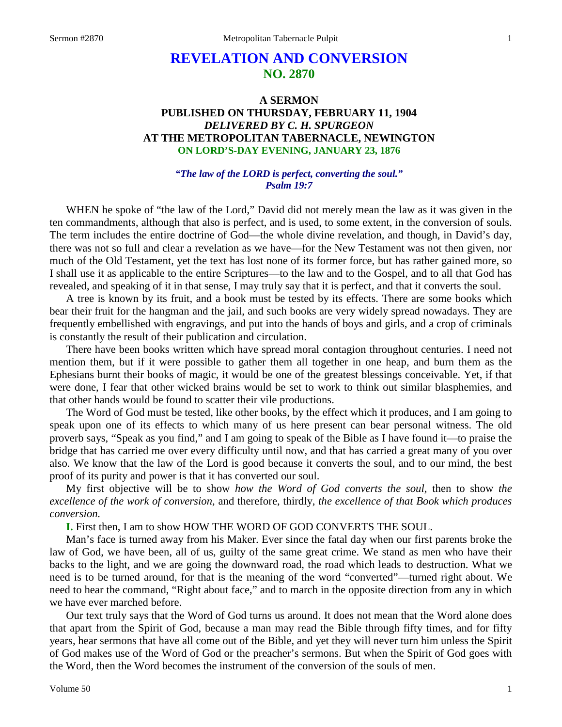# **REVELATION AND CONVERSION NO. 2870**

# **A SERMON PUBLISHED ON THURSDAY, FEBRUARY 11, 1904** *DELIVERED BY C. H. SPURGEON* **AT THE METROPOLITAN TABERNACLE, NEWINGTON ON LORD'S-DAY EVENING, JANUARY 23, 1876**

### *"The law of the LORD is perfect, converting the soul." Psalm 19:7*

WHEN he spoke of "the law of the Lord," David did not merely mean the law as it was given in the ten commandments, although that also is perfect, and is used, to some extent, in the conversion of souls. The term includes the entire doctrine of God—the whole divine revelation, and though, in David's day, there was not so full and clear a revelation as we have—for the New Testament was not then given, nor much of the Old Testament, yet the text has lost none of its former force, but has rather gained more, so I shall use it as applicable to the entire Scriptures—to the law and to the Gospel, and to all that God has revealed, and speaking of it in that sense, I may truly say that it is perfect, and that it converts the soul.

A tree is known by its fruit, and a book must be tested by its effects. There are some books which bear their fruit for the hangman and the jail, and such books are very widely spread nowadays. They are frequently embellished with engravings, and put into the hands of boys and girls, and a crop of criminals is constantly the result of their publication and circulation.

There have been books written which have spread moral contagion throughout centuries. I need not mention them, but if it were possible to gather them all together in one heap, and burn them as the Ephesians burnt their books of magic, it would be one of the greatest blessings conceivable. Yet, if that were done, I fear that other wicked brains would be set to work to think out similar blasphemies, and that other hands would be found to scatter their vile productions.

The Word of God must be tested, like other books, by the effect which it produces, and I am going to speak upon one of its effects to which many of us here present can bear personal witness. The old proverb says, "Speak as you find," and I am going to speak of the Bible as I have found it—to praise the bridge that has carried me over every difficulty until now, and that has carried a great many of you over also. We know that the law of the Lord is good because it converts the soul, and to our mind, the best proof of its purity and power is that it has converted our soul.

My first objective will be to show *how the Word of God converts the soul,* then to show *the excellence of the work of conversion,* and therefore, thirdly, *the excellence of that Book which produces conversion.*

**I.** First then, I am to show HOW THE WORD OF GOD CONVERTS THE SOUL.

Man's face is turned away from his Maker. Ever since the fatal day when our first parents broke the law of God, we have been, all of us, guilty of the same great crime. We stand as men who have their backs to the light, and we are going the downward road, the road which leads to destruction. What we need is to be turned around, for that is the meaning of the word "converted"—turned right about. We need to hear the command, "Right about face," and to march in the opposite direction from any in which we have ever marched before.

Our text truly says that the Word of God turns us around. It does not mean that the Word alone does that apart from the Spirit of God, because a man may read the Bible through fifty times, and for fifty years, hear sermons that have all come out of the Bible, and yet they will never turn him unless the Spirit of God makes use of the Word of God or the preacher's sermons. But when the Spirit of God goes with the Word, then the Word becomes the instrument of the conversion of the souls of men.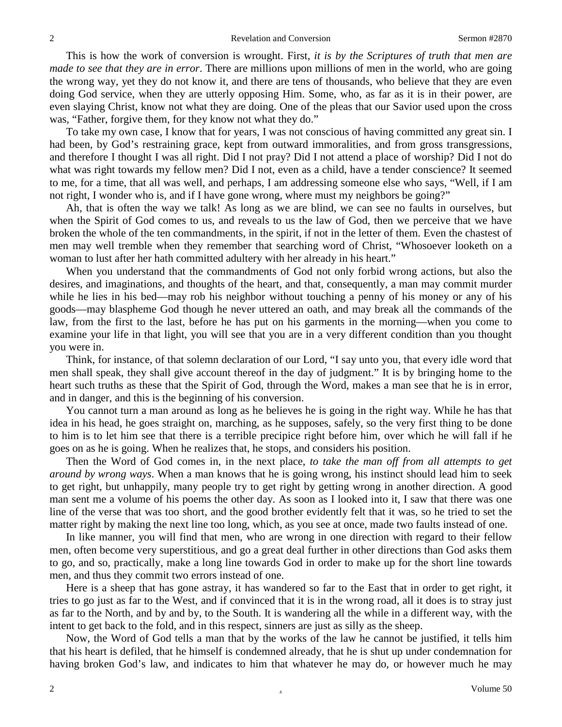This is how the work of conversion is wrought. First, *it is by the Scriptures of truth that men are made to see that they are in error*. There are millions upon millions of men in the world, who are going the wrong way, yet they do not know it, and there are tens of thousands, who believe that they are even doing God service, when they are utterly opposing Him. Some, who, as far as it is in their power, are even slaying Christ, know not what they are doing. One of the pleas that our Savior used upon the cross was, "Father, forgive them, for they know not what they do."

To take my own case, I know that for years, I was not conscious of having committed any great sin. I had been, by God's restraining grace, kept from outward immoralities, and from gross transgressions, and therefore I thought I was all right. Did I not pray? Did I not attend a place of worship? Did I not do what was right towards my fellow men? Did I not, even as a child, have a tender conscience? It seemed to me, for a time, that all was well, and perhaps, I am addressing someone else who says, "Well, if I am not right, I wonder who is, and if I have gone wrong, where must my neighbors be going?"

Ah, that is often the way we talk! As long as we are blind, we can see no faults in ourselves, but when the Spirit of God comes to us, and reveals to us the law of God, then we perceive that we have broken the whole of the ten commandments, in the spirit, if not in the letter of them. Even the chastest of men may well tremble when they remember that searching word of Christ, "Whosoever looketh on a woman to lust after her hath committed adultery with her already in his heart."

When you understand that the commandments of God not only forbid wrong actions, but also the desires, and imaginations, and thoughts of the heart, and that, consequently, a man may commit murder while he lies in his bed—may rob his neighbor without touching a penny of his money or any of his goods—may blaspheme God though he never uttered an oath, and may break all the commands of the law, from the first to the last, before he has put on his garments in the morning—when you come to examine your life in that light, you will see that you are in a very different condition than you thought you were in.

Think, for instance, of that solemn declaration of our Lord, "I say unto you, that every idle word that men shall speak, they shall give account thereof in the day of judgment." It is by bringing home to the heart such truths as these that the Spirit of God, through the Word, makes a man see that he is in error, and in danger, and this is the beginning of his conversion.

You cannot turn a man around as long as he believes he is going in the right way. While he has that idea in his head, he goes straight on, marching, as he supposes, safely, so the very first thing to be done to him is to let him see that there is a terrible precipice right before him, over which he will fall if he goes on as he is going. When he realizes that, he stops, and considers his position.

Then the Word of God comes in, in the next place, *to take the man off from all attempts to get around by wrong ways*. When a man knows that he is going wrong, his instinct should lead him to seek to get right, but unhappily, many people try to get right by getting wrong in another direction. A good man sent me a volume of his poems the other day. As soon as I looked into it, I saw that there was one line of the verse that was too short, and the good brother evidently felt that it was, so he tried to set the matter right by making the next line too long, which, as you see at once, made two faults instead of one.

In like manner, you will find that men, who are wrong in one direction with regard to their fellow men, often become very superstitious, and go a great deal further in other directions than God asks them to go, and so, practically, make a long line towards God in order to make up for the short line towards men, and thus they commit two errors instead of one.

Here is a sheep that has gone astray, it has wandered so far to the East that in order to get right, it tries to go just as far to the West, and if convinced that it is in the wrong road, all it does is to stray just as far to the North, and by and by, to the South. It is wandering all the while in a different way, with the intent to get back to the fold, and in this respect, sinners are just as silly as the sheep.

Now, the Word of God tells a man that by the works of the law he cannot be justified, it tells him that his heart is defiled, that he himself is condemned already, that he is shut up under condemnation for having broken God's law, and indicates to him that whatever he may do, or however much he may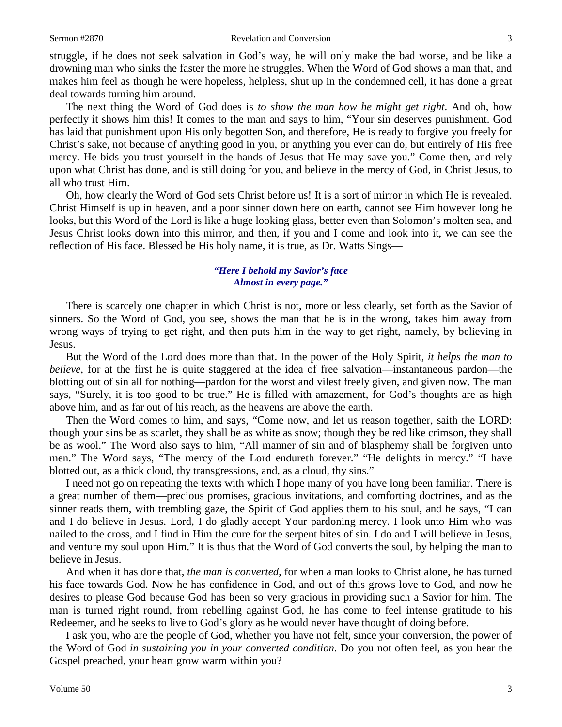#### Sermon #2870 **Revelation and Conversion** 3

struggle, if he does not seek salvation in God's way, he will only make the bad worse, and be like a drowning man who sinks the faster the more he struggles. When the Word of God shows a man that, and makes him feel as though he were hopeless, helpless, shut up in the condemned cell, it has done a great deal towards turning him around.

The next thing the Word of God does is *to show the man how he might get right*. And oh, how perfectly it shows him this! It comes to the man and says to him, "Your sin deserves punishment. God has laid that punishment upon His only begotten Son, and therefore, He is ready to forgive you freely for Christ's sake, not because of anything good in you, or anything you ever can do, but entirely of His free mercy. He bids you trust yourself in the hands of Jesus that He may save you." Come then, and rely upon what Christ has done, and is still doing for you, and believe in the mercy of God, in Christ Jesus, to all who trust Him.

Oh, how clearly the Word of God sets Christ before us! It is a sort of mirror in which He is revealed. Christ Himself is up in heaven, and a poor sinner down here on earth, cannot see Him however long he looks, but this Word of the Lord is like a huge looking glass, better even than Solomon's molten sea, and Jesus Christ looks down into this mirror, and then, if you and I come and look into it, we can see the reflection of His face. Blessed be His holy name, it is true, as Dr. Watts Sings—

### *"Here I behold my Savior's face Almost in every page."*

There is scarcely one chapter in which Christ is not, more or less clearly, set forth as the Savior of sinners. So the Word of God, you see, shows the man that he is in the wrong, takes him away from wrong ways of trying to get right, and then puts him in the way to get right, namely, by believing in Jesus.

But the Word of the Lord does more than that. In the power of the Holy Spirit, *it helps the man to believe*, for at the first he is quite staggered at the idea of free salvation—instantaneous pardon—the blotting out of sin all for nothing—pardon for the worst and vilest freely given, and given now. The man says, "Surely, it is too good to be true." He is filled with amazement, for God's thoughts are as high above him, and as far out of his reach, as the heavens are above the earth.

Then the Word comes to him, and says, "Come now, and let us reason together, saith the LORD: though your sins be as scarlet, they shall be as white as snow; though they be red like crimson, they shall be as wool." The Word also says to him, "All manner of sin and of blasphemy shall be forgiven unto men." The Word says, "The mercy of the Lord endureth forever." "He delights in mercy." "I have blotted out, as a thick cloud, thy transgressions, and, as a cloud, thy sins."

I need not go on repeating the texts with which I hope many of you have long been familiar. There is a great number of them—precious promises, gracious invitations, and comforting doctrines, and as the sinner reads them, with trembling gaze, the Spirit of God applies them to his soul, and he says, "I can and I do believe in Jesus. Lord, I do gladly accept Your pardoning mercy. I look unto Him who was nailed to the cross, and I find in Him the cure for the serpent bites of sin. I do and I will believe in Jesus, and venture my soul upon Him." It is thus that the Word of God converts the soul, by helping the man to believe in Jesus.

And when it has done that, *the man is converted,* for when a man looks to Christ alone, he has turned his face towards God. Now he has confidence in God, and out of this grows love to God, and now he desires to please God because God has been so very gracious in providing such a Savior for him. The man is turned right round, from rebelling against God, he has come to feel intense gratitude to his Redeemer, and he seeks to live to God's glory as he would never have thought of doing before.

I ask you, who are the people of God, whether you have not felt, since your conversion, the power of the Word of God *in sustaining you in your converted condition*. Do you not often feel, as you hear the Gospel preached, your heart grow warm within you?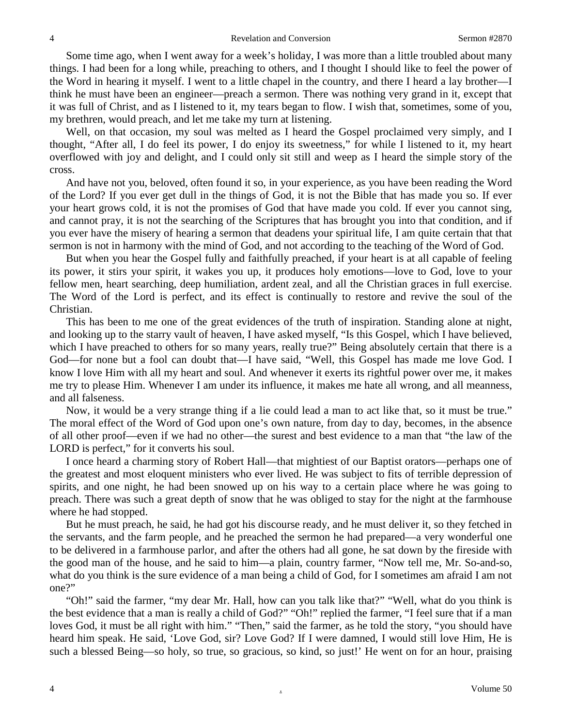Some time ago, when I went away for a week's holiday, I was more than a little troubled about many things. I had been for a long while, preaching to others, and I thought I should like to feel the power of the Word in hearing it myself. I went to a little chapel in the country, and there I heard a lay brother—I think he must have been an engineer—preach a sermon. There was nothing very grand in it, except that it was full of Christ, and as I listened to it, my tears began to flow. I wish that, sometimes, some of you, my brethren, would preach, and let me take my turn at listening.

Well, on that occasion, my soul was melted as I heard the Gospel proclaimed very simply, and I thought, "After all, I do feel its power, I do enjoy its sweetness," for while I listened to it, my heart overflowed with joy and delight, and I could only sit still and weep as I heard the simple story of the cross.

And have not you, beloved, often found it so, in your experience, as you have been reading the Word of the Lord? If you ever get dull in the things of God, it is not the Bible that has made you so. If ever your heart grows cold, it is not the promises of God that have made you cold. If ever you cannot sing, and cannot pray, it is not the searching of the Scriptures that has brought you into that condition, and if you ever have the misery of hearing a sermon that deadens your spiritual life, I am quite certain that that sermon is not in harmony with the mind of God, and not according to the teaching of the Word of God.

But when you hear the Gospel fully and faithfully preached, if your heart is at all capable of feeling its power, it stirs your spirit, it wakes you up, it produces holy emotions—love to God, love to your fellow men, heart searching, deep humiliation, ardent zeal, and all the Christian graces in full exercise. The Word of the Lord is perfect, and its effect is continually to restore and revive the soul of the Christian.

This has been to me one of the great evidences of the truth of inspiration. Standing alone at night, and looking up to the starry vault of heaven, I have asked myself, "Is this Gospel, which I have believed, which I have preached to others for so many years, really true?" Being absolutely certain that there is a God—for none but a fool can doubt that—I have said, "Well, this Gospel has made me love God. I know I love Him with all my heart and soul. And whenever it exerts its rightful power over me, it makes me try to please Him. Whenever I am under its influence, it makes me hate all wrong, and all meanness, and all falseness.

Now, it would be a very strange thing if a lie could lead a man to act like that, so it must be true." The moral effect of the Word of God upon one's own nature, from day to day, becomes, in the absence of all other proof—even if we had no other—the surest and best evidence to a man that "the law of the LORD is perfect," for it converts his soul.

I once heard a charming story of Robert Hall—that mightiest of our Baptist orators—perhaps one of the greatest and most eloquent ministers who ever lived. He was subject to fits of terrible depression of spirits, and one night, he had been snowed up on his way to a certain place where he was going to preach. There was such a great depth of snow that he was obliged to stay for the night at the farmhouse where he had stopped.

But he must preach, he said, he had got his discourse ready, and he must deliver it, so they fetched in the servants, and the farm people, and he preached the sermon he had prepared—a very wonderful one to be delivered in a farmhouse parlor, and after the others had all gone, he sat down by the fireside with the good man of the house, and he said to him—a plain, country farmer, "Now tell me, Mr. So-and-so, what do you think is the sure evidence of a man being a child of God, for I sometimes am afraid I am not one?"

"Oh!" said the farmer, "my dear Mr. Hall, how can you talk like that?" "Well, what do you think is the best evidence that a man is really a child of God?" "Oh!" replied the farmer, "I feel sure that if a man loves God, it must be all right with him." "Then," said the farmer, as he told the story, "you should have heard him speak. He said, 'Love God, sir? Love God? If I were damned, I would still love Him, He is such a blessed Being—so holy, so true, so gracious, so kind, so just!' He went on for an hour, praising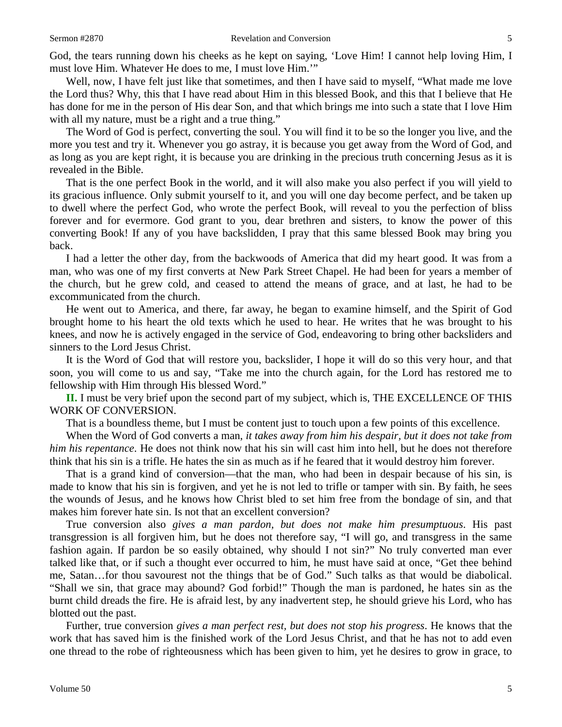God, the tears running down his cheeks as he kept on saying, 'Love Him! I cannot help loving Him, I must love Him. Whatever He does to me, I must love Him.'"

Well, now, I have felt just like that sometimes, and then I have said to myself, "What made me love the Lord thus? Why, this that I have read about Him in this blessed Book, and this that I believe that He has done for me in the person of His dear Son, and that which brings me into such a state that I love Him with all my nature, must be a right and a true thing."

The Word of God is perfect, converting the soul. You will find it to be so the longer you live, and the more you test and try it. Whenever you go astray, it is because you get away from the Word of God, and as long as you are kept right, it is because you are drinking in the precious truth concerning Jesus as it is revealed in the Bible.

That is the one perfect Book in the world, and it will also make you also perfect if you will yield to its gracious influence. Only submit yourself to it, and you will one day become perfect, and be taken up to dwell where the perfect God, who wrote the perfect Book, will reveal to you the perfection of bliss forever and for evermore. God grant to you, dear brethren and sisters, to know the power of this converting Book! If any of you have backslidden, I pray that this same blessed Book may bring you back.

I had a letter the other day, from the backwoods of America that did my heart good. It was from a man, who was one of my first converts at New Park Street Chapel. He had been for years a member of the church, but he grew cold, and ceased to attend the means of grace, and at last, he had to be excommunicated from the church.

He went out to America, and there, far away, he began to examine himself, and the Spirit of God brought home to his heart the old texts which he used to hear. He writes that he was brought to his knees, and now he is actively engaged in the service of God, endeavoring to bring other backsliders and sinners to the Lord Jesus Christ.

It is the Word of God that will restore you, backslider, I hope it will do so this very hour, and that soon, you will come to us and say, "Take me into the church again, for the Lord has restored me to fellowship with Him through His blessed Word."

**II.** I must be very brief upon the second part of my subject, which is, THE EXCELLENCE OF THIS WORK OF CONVERSION.

That is a boundless theme, but I must be content just to touch upon a few points of this excellence.

When the Word of God converts a man, *it takes away from him his despair, but it does not take from him his repentance*. He does not think now that his sin will cast him into hell, but he does not therefore think that his sin is a trifle. He hates the sin as much as if he feared that it would destroy him forever.

That is a grand kind of conversion—that the man, who had been in despair because of his sin, is made to know that his sin is forgiven, and yet he is not led to trifle or tamper with sin. By faith, he sees the wounds of Jesus, and he knows how Christ bled to set him free from the bondage of sin, and that makes him forever hate sin. Is not that an excellent conversion?

True conversion also *gives a man pardon, but does not make him presumptuous*. His past transgression is all forgiven him, but he does not therefore say, "I will go, and transgress in the same fashion again. If pardon be so easily obtained, why should I not sin?" No truly converted man ever talked like that, or if such a thought ever occurred to him, he must have said at once, "Get thee behind me, Satan…for thou savourest not the things that be of God." Such talks as that would be diabolical. "Shall we sin, that grace may abound? God forbid!" Though the man is pardoned, he hates sin as the burnt child dreads the fire. He is afraid lest, by any inadvertent step, he should grieve his Lord, who has blotted out the past.

Further, true conversion *gives a man perfect rest, but does not stop his progress*. He knows that the work that has saved him is the finished work of the Lord Jesus Christ, and that he has not to add even one thread to the robe of righteousness which has been given to him, yet he desires to grow in grace, to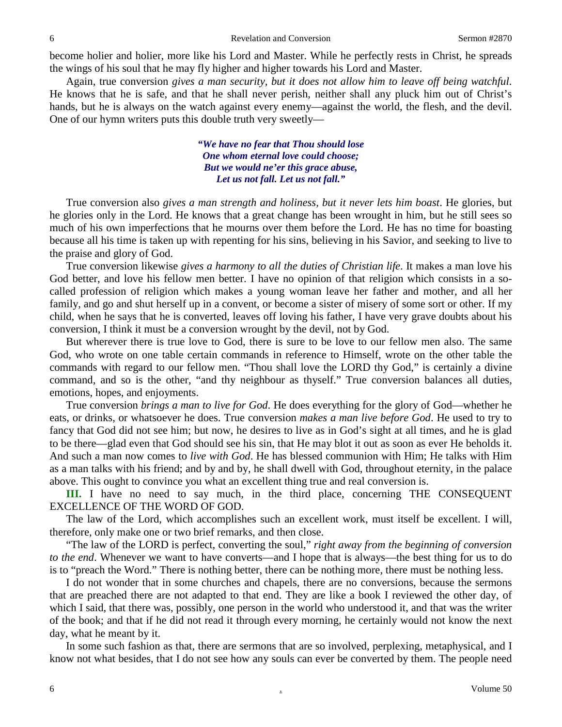become holier and holier, more like his Lord and Master. While he perfectly rests in Christ, he spreads the wings of his soul that he may fly higher and higher towards his Lord and Master.

Again, true conversion *gives a man security, but it does not allow him to leave off being watchful*. He knows that he is safe, and that he shall never perish, neither shall any pluck him out of Christ's hands, but he is always on the watch against every enemy—against the world, the flesh, and the devil. One of our hymn writers puts this double truth very sweetly—

> *"We have no fear that Thou should lose One whom eternal love could choose; But we would ne'er this grace abuse, Let us not fall. Let us not fall."*

True conversion also *gives a man strength and holiness, but it never lets him boast*. He glories, but he glories only in the Lord. He knows that a great change has been wrought in him, but he still sees so much of his own imperfections that he mourns over them before the Lord. He has no time for boasting because all his time is taken up with repenting for his sins, believing in his Savior, and seeking to live to the praise and glory of God.

True conversion likewise *gives a harmony to all the duties of Christian life*. It makes a man love his God better, and love his fellow men better. I have no opinion of that religion which consists in a socalled profession of religion which makes a young woman leave her father and mother, and all her family, and go and shut herself up in a convent, or become a sister of misery of some sort or other. If my child, when he says that he is converted, leaves off loving his father, I have very grave doubts about his conversion, I think it must be a conversion wrought by the devil, not by God.

But wherever there is true love to God, there is sure to be love to our fellow men also. The same God, who wrote on one table certain commands in reference to Himself, wrote on the other table the commands with regard to our fellow men. "Thou shall love the LORD thy God," is certainly a divine command, and so is the other, "and thy neighbour as thyself." True conversion balances all duties, emotions, hopes, and enjoyments.

True conversion *brings a man to live for God*. He does everything for the glory of God—whether he eats, or drinks, or whatsoever he does. True conversion *makes a man live before God*. He used to try to fancy that God did not see him; but now, he desires to live as in God's sight at all times, and he is glad to be there—glad even that God should see his sin, that He may blot it out as soon as ever He beholds it. And such a man now comes to *live with God*. He has blessed communion with Him; He talks with Him as a man talks with his friend; and by and by, he shall dwell with God, throughout eternity, in the palace above. This ought to convince you what an excellent thing true and real conversion is.

**III.** I have no need to say much, in the third place, concerning THE CONSEQUENT EXCELLENCE OF THE WORD OF GOD.

The law of the Lord, which accomplishes such an excellent work, must itself be excellent. I will, therefore, only make one or two brief remarks, and then close.

"The law of the LORD is perfect, converting the soul," *right away from the beginning of conversion to the end*. Whenever we want to have converts—and I hope that is always—the best thing for us to do is to "preach the Word." There is nothing better, there can be nothing more, there must be nothing less.

I do not wonder that in some churches and chapels, there are no conversions, because the sermons that are preached there are not adapted to that end. They are like a book I reviewed the other day, of which I said, that there was, possibly, one person in the world who understood it, and that was the writer of the book; and that if he did not read it through every morning, he certainly would not know the next day, what he meant by it.

In some such fashion as that, there are sermons that are so involved, perplexing, metaphysical, and I know not what besides, that I do not see how any souls can ever be converted by them. The people need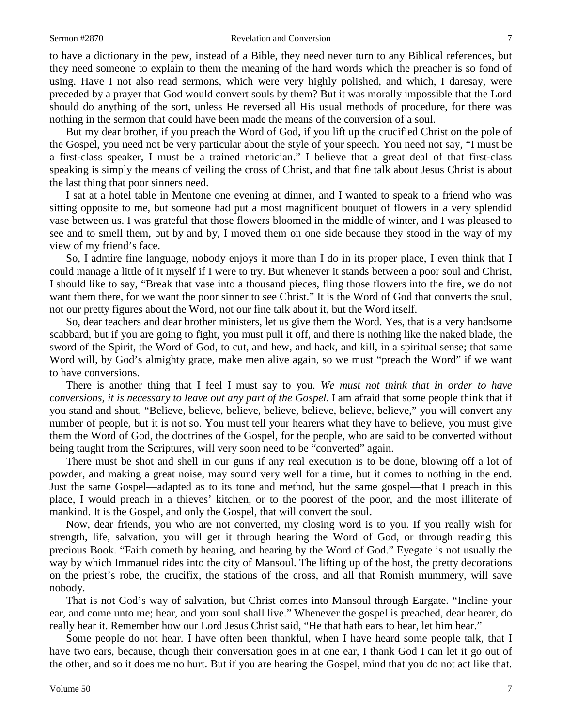#### Sermon #2870 **Revelation and Conversion** 7

to have a dictionary in the pew, instead of a Bible, they need never turn to any Biblical references, but they need someone to explain to them the meaning of the hard words which the preacher is so fond of using. Have I not also read sermons, which were very highly polished, and which, I daresay, were preceded by a prayer that God would convert souls by them? But it was morally impossible that the Lord should do anything of the sort, unless He reversed all His usual methods of procedure, for there was nothing in the sermon that could have been made the means of the conversion of a soul.

But my dear brother, if you preach the Word of God, if you lift up the crucified Christ on the pole of the Gospel, you need not be very particular about the style of your speech. You need not say, "I must be a first-class speaker, I must be a trained rhetorician." I believe that a great deal of that first-class speaking is simply the means of veiling the cross of Christ, and that fine talk about Jesus Christ is about the last thing that poor sinners need.

I sat at a hotel table in Mentone one evening at dinner, and I wanted to speak to a friend who was sitting opposite to me, but someone had put a most magnificent bouquet of flowers in a very splendid vase between us. I was grateful that those flowers bloomed in the middle of winter, and I was pleased to see and to smell them, but by and by, I moved them on one side because they stood in the way of my view of my friend's face.

So, I admire fine language, nobody enjoys it more than I do in its proper place, I even think that I could manage a little of it myself if I were to try. But whenever it stands between a poor soul and Christ, I should like to say, "Break that vase into a thousand pieces, fling those flowers into the fire, we do not want them there, for we want the poor sinner to see Christ." It is the Word of God that converts the soul, not our pretty figures about the Word, not our fine talk about it, but the Word itself.

So, dear teachers and dear brother ministers, let us give them the Word. Yes, that is a very handsome scabbard, but if you are going to fight, you must pull it off, and there is nothing like the naked blade, the sword of the Spirit, the Word of God, to cut, and hew, and hack, and kill, in a spiritual sense; that same Word will, by God's almighty grace, make men alive again, so we must "preach the Word" if we want to have conversions.

There is another thing that I feel I must say to you. *We must not think that in order to have conversions, it is necessary to leave out any part of the Gospel*. I am afraid that some people think that if you stand and shout, "Believe, believe, believe, believe, believe, believe, believe," you will convert any number of people, but it is not so. You must tell your hearers what they have to believe, you must give them the Word of God, the doctrines of the Gospel, for the people, who are said to be converted without being taught from the Scriptures, will very soon need to be "converted" again.

There must be shot and shell in our guns if any real execution is to be done, blowing off a lot of powder, and making a great noise, may sound very well for a time, but it comes to nothing in the end. Just the same Gospel—adapted as to its tone and method, but the same gospel—that I preach in this place, I would preach in a thieves' kitchen, or to the poorest of the poor, and the most illiterate of mankind. It is the Gospel, and only the Gospel, that will convert the soul.

Now, dear friends, you who are not converted, my closing word is to you. If you really wish for strength, life, salvation, you will get it through hearing the Word of God, or through reading this precious Book. "Faith cometh by hearing, and hearing by the Word of God." Eyegate is not usually the way by which Immanuel rides into the city of Mansoul. The lifting up of the host, the pretty decorations on the priest's robe, the crucifix, the stations of the cross, and all that Romish mummery, will save nobody.

That is not God's way of salvation, but Christ comes into Mansoul through Eargate. "Incline your ear, and come unto me; hear, and your soul shall live." Whenever the gospel is preached, dear hearer, do really hear it. Remember how our Lord Jesus Christ said, "He that hath ears to hear, let him hear."

Some people do not hear. I have often been thankful, when I have heard some people talk, that I have two ears, because, though their conversation goes in at one ear, I thank God I can let it go out of the other, and so it does me no hurt. But if you are hearing the Gospel, mind that you do not act like that.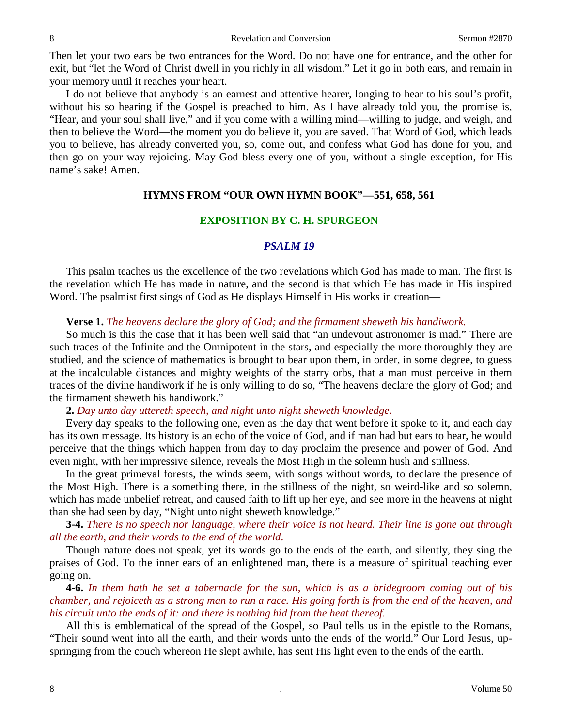Then let your two ears be two entrances for the Word. Do not have one for entrance, and the other for exit, but "let the Word of Christ dwell in you richly in all wisdom." Let it go in both ears, and remain in your memory until it reaches your heart.

I do not believe that anybody is an earnest and attentive hearer, longing to hear to his soul's profit, without his so hearing if the Gospel is preached to him. As I have already told you, the promise is, "Hear, and your soul shall live," and if you come with a willing mind—willing to judge, and weigh, and then to believe the Word—the moment you do believe it, you are saved. That Word of God, which leads you to believe, has already converted you, so, come out, and confess what God has done for you, and then go on your way rejoicing. May God bless every one of you, without a single exception, for His name's sake! Amen.

## **HYMNS FROM "OUR OWN HYMN BOOK"—551, 658, 561**

### **EXPOSITION BY C. H. SPURGEON**

### *PSALM 19*

This psalm teaches us the excellence of the two revelations which God has made to man. The first is the revelation which He has made in nature, and the second is that which He has made in His inspired Word. The psalmist first sings of God as He displays Himself in His works in creation—

### **Verse 1.** *The heavens declare the glory of God; and the firmament sheweth his handiwork.*

So much is this the case that it has been well said that "an undevout astronomer is mad." There are such traces of the Infinite and the Omnipotent in the stars, and especially the more thoroughly they are studied, and the science of mathematics is brought to bear upon them, in order, in some degree, to guess at the incalculable distances and mighty weights of the starry orbs, that a man must perceive in them traces of the divine handiwork if he is only willing to do so, "The heavens declare the glory of God; and the firmament sheweth his handiwork."

### **2.** *Day unto day uttereth speech, and night unto night sheweth knowledge*.

Every day speaks to the following one, even as the day that went before it spoke to it, and each day has its own message. Its history is an echo of the voice of God, and if man had but ears to hear, he would perceive that the things which happen from day to day proclaim the presence and power of God. And even night, with her impressive silence, reveals the Most High in the solemn hush and stillness.

In the great primeval forests, the winds seem, with songs without words, to declare the presence of the Most High. There is a something there, in the stillness of the night, so weird-like and so solemn, which has made unbelief retreat, and caused faith to lift up her eye, and see more in the heavens at night than she had seen by day, "Night unto night sheweth knowledge."

**3-4.** *There is no speech nor language, where their voice is not heard. Their line is gone out through all the earth, and their words to the end of the world*.

Though nature does not speak, yet its words go to the ends of the earth, and silently, they sing the praises of God. To the inner ears of an enlightened man, there is a measure of spiritual teaching ever going on.

**4-6.** *In them hath he set a tabernacle for the sun, which is as a bridegroom coming out of his chamber, and rejoiceth as a strong man to run a race. His going forth is from the end of the heaven, and his circuit unto the ends of it: and there is nothing hid from the heat thereof.*

All this is emblematical of the spread of the Gospel, so Paul tells us in the epistle to the Romans, "Their sound went into all the earth, and their words unto the ends of the world." Our Lord Jesus, upspringing from the couch whereon He slept awhile, has sent His light even to the ends of the earth.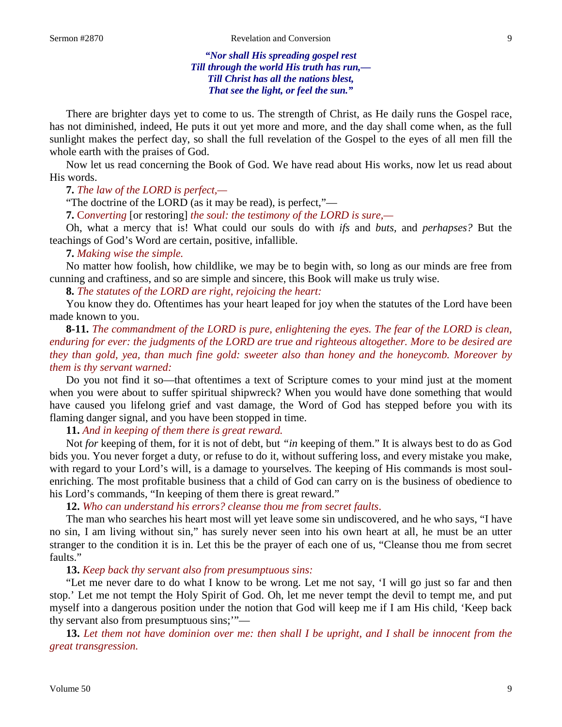*"Nor shall His spreading gospel rest Till through the world His truth has run,— Till Christ has all the nations blest, That see the light, or feel the sun."*

There are brighter days yet to come to us. The strength of Christ, as He daily runs the Gospel race, has not diminished, indeed, He puts it out yet more and more, and the day shall come when, as the full sunlight makes the perfect day, so shall the full revelation of the Gospel to the eyes of all men fill the whole earth with the praises of God.

Now let us read concerning the Book of God. We have read about His works, now let us read about His words.

**7.** *The law of the LORD is perfect,—*

"The doctrine of the LORD (as it may be read), is perfect,"—

**7.** C*onverting* [or restoring] *the soul: the testimony of the LORD is sure,—*

Oh, what a mercy that is! What could our souls do with *ifs* and *buts,* and *perhapses?* But the teachings of God's Word are certain, positive, infallible.

### **7.** *Making wise the simple.*

No matter how foolish, how childlike, we may be to begin with, so long as our minds are free from cunning and craftiness, and so are simple and sincere, this Book will make us truly wise.

**8.** *The statutes of the LORD are right, rejoicing the heart:*

You know they do. Oftentimes has your heart leaped for joy when the statutes of the Lord have been made known to you.

**8-11.** *The commandment of the LORD is pure, enlightening the eyes. The fear of the LORD is clean, enduring for ever: the judgments of the LORD are true and righteous altogether. More to be desired are they than gold, yea, than much fine gold: sweeter also than honey and the honeycomb. Moreover by them is thy servant warned:*

Do you not find it so—that oftentimes a text of Scripture comes to your mind just at the moment when you were about to suffer spiritual shipwreck? When you would have done something that would have caused you lifelong grief and vast damage, the Word of God has stepped before you with its flaming danger signal, and you have been stopped in time.

**11.** *And in keeping of them there is great reward.*

Not *for* keeping of them, for it is not of debt, but *"in* keeping of them." It is always best to do as God bids you. You never forget a duty, or refuse to do it, without suffering loss, and every mistake you make, with regard to your Lord's will, is a damage to yourselves. The keeping of His commands is most soulenriching. The most profitable business that a child of God can carry on is the business of obedience to his Lord's commands, "In keeping of them there is great reward."

**12.** *Who can understand his errors? cleanse thou me from secret faults*.

The man who searches his heart most will yet leave some sin undiscovered, and he who says, "I have no sin, I am living without sin," has surely never seen into his own heart at all, he must be an utter stranger to the condition it is in. Let this be the prayer of each one of us, "Cleanse thou me from secret faults."

**13.** *Keep back thy servant also from presumptuous sins:*

"Let me never dare to do what I know to be wrong. Let me not say, 'I will go just so far and then stop.' Let me not tempt the Holy Spirit of God. Oh, let me never tempt the devil to tempt me, and put myself into a dangerous position under the notion that God will keep me if I am His child, 'Keep back thy servant also from presumptuous sins;'"—

**13.** *Let them not have dominion over me: then shall I be upright, and I shall be innocent from the great transgression.*